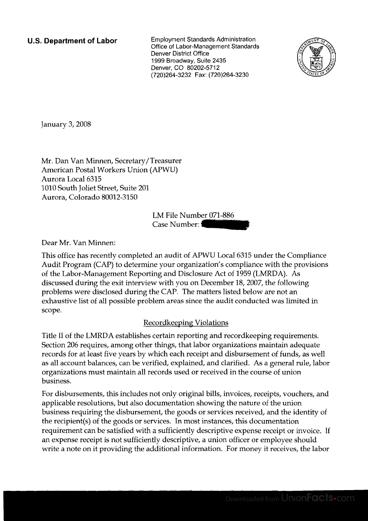**U.S. Department of Labor** Employment Standards Administration Office of Labor-Management Standards Denver District Office 1999 Broadway, Suite 2435 Denver, CO 80202-5712 (720)264-3232 Fax: (720)264-3230



January 3,2008

Mr. Dan Van Minnen, Secretary/Treasurer American Postal Workers Union (APWU) Aurora Local 6315 1010 South Joliet Street, Suite 201 Aurora, Colorado 80012-3150

LM File Number 071-886

Dear Mr. Van Minnen:

Case Number: - This office has recently completed an audit of APWU Local 6315 under the Compliance Audit Program (CAP) to determine your organization's compliance with the provisions of the Labor-Management Reporting and Disclosure Act of 1959 (LMRDA). As discussed during the exit interview with you on December 18,2007, the following problems were disclosed during the CAP. The matters listed below are not an exhaustive list of all possible problem areas since the audit conducted was limited in scope.

## Recordkeeping Violations

Title I1 of the LMRDA establishes certain reporting and recordkeeping requirements. Section 206 requires, among other things, that labor organizations maintain adequate records for at least five years by which each receipt and disbursement of funds, as well as all account balances, can be verified, explained, and clarified. As a general rule, labor organizations must maintain all records used or received in the course of union business.

For disbursements, this includes not only original bills, invoices, receipts, vouchers, and applicable resolutions, but also documentation showing the nature of the union business requiring the disbursement, the goods or services received, and the identity of the recipient(s) of the goods or services. In most instances, this documentation requirement can be satisfied with a sufficiently descriptive expense receipt or invoice. If an expense receipt is not sufficiently descriptive, a union officer or employee should write a note on it providing the additional information. For money it receives, the labor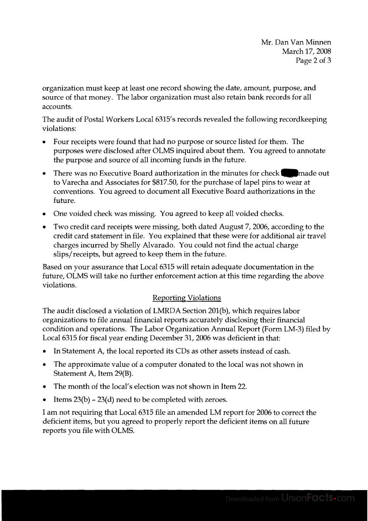organization must keep at least one record showing the date, amount, purpose, and source of that money. The labor organization must also retain bank records for all accounts.

The audit of Postal Workers Local 6315's records revealed the following recordkeeping violations:

- Four receipts were found that had no purpose or source listed for them. The purposes were disclosed after OLMS inquired about them. You agreed to annotate the purpose and source of all incoming funds in the future.
- There was no Executive Board authorization in the minutes for check made out to Varecha and Associates for \$817.50, for the purchase of lapel pins to wear at conventions. You agreed to document all Executive Board authorizations in the future.
- One voided check was missing. You agreed to keep all voided checks.
- Two credit card receipts were missing, both dated August 7,2006, according to the credit card statement in file. You explained that these were for additional air travel charges incurred by Shelly Alvarado. You could not find the actual charge slips/receipts, but agreed to keep them in the future.

Based on your assurance that Local 6315 will retain adequate documentation in the future, OLMS will take no further enforcement action at this time regarding the above violations.

## Reporting Violations

The audit disclosed a violation of LMRDA Section 201(b), which requires labor organizations to file annual financial reports accurately disclosing their financial condition and operations. The Labor Organization Annual Report (Form LM-3) filed by Local 6315 for fiscal year ending December 31,2006 was deficient in that:

- In Statement A, the local reported its CDs as other assets instead of cash.
- The approximate value of a computer donated to the local was not shown in Statement A, Item 29(B).
- The month of the local's election was not shown in Item 22.
- Items 23(b) 23(d) need to be completed with zeroes.

I am not requiring that Local 6315 file an amended LM report for 2006 to correct the deficient items, but you agreed to properly report the deficient items on all future reports you file with OLMS.